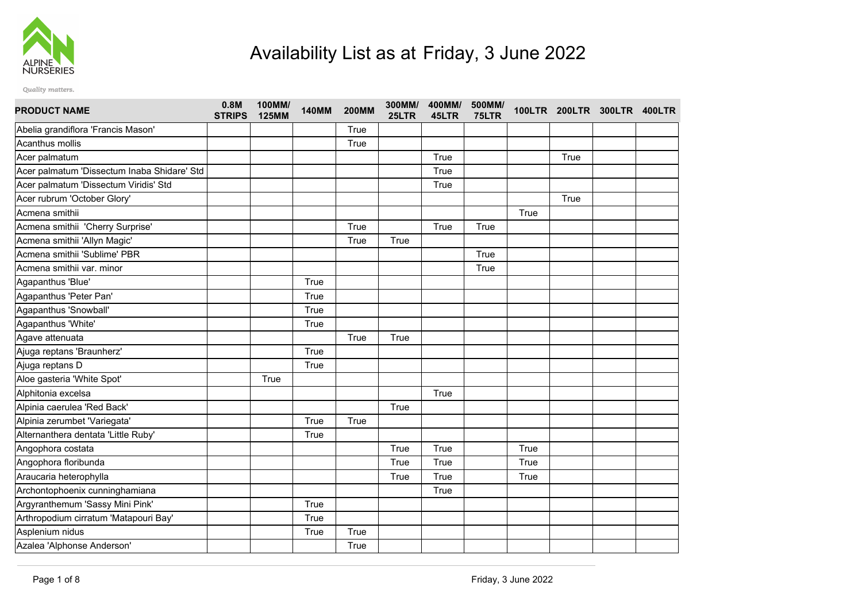

## Availability List as at Friday, 3 June 2022

Quality matters.

| <b>PRODUCT NAME</b>                         | 0.8M<br><b>STRIPS</b> | 100MM/<br><b>125MM</b> | <b>140MM</b> | <b>200MM</b> | 300MM/<br>25LTR | 400MM/<br>45LTR | 500MM/<br>75LTR |      | 100LTR 200LTR 300LTR 400LTR |  |
|---------------------------------------------|-----------------------|------------------------|--------------|--------------|-----------------|-----------------|-----------------|------|-----------------------------|--|
| Abelia grandiflora 'Francis Mason'          |                       |                        |              | True         |                 |                 |                 |      |                             |  |
| Acanthus mollis                             |                       |                        |              | True         |                 |                 |                 |      |                             |  |
| Acer palmatum                               |                       |                        |              |              |                 | True            |                 |      | True                        |  |
| Acer palmatum 'Dissectum Inaba Shidare' Std |                       |                        |              |              |                 | True            |                 |      |                             |  |
| Acer palmatum 'Dissectum Viridis' Std       |                       |                        |              |              |                 | True            |                 |      |                             |  |
| Acer rubrum 'October Glory'                 |                       |                        |              |              |                 |                 |                 |      | True                        |  |
| Acmena smithii                              |                       |                        |              |              |                 |                 |                 | True |                             |  |
| Acmena smithii 'Cherry Surprise'            |                       |                        |              | True         |                 | True            | True            |      |                             |  |
| Acmena smithii 'Allyn Magic'                |                       |                        |              | True         | True            |                 |                 |      |                             |  |
| Acmena smithii 'Sublime' PBR                |                       |                        |              |              |                 |                 | True            |      |                             |  |
| Acmena smithii var. minor                   |                       |                        |              |              |                 |                 | True            |      |                             |  |
| Agapanthus 'Blue'                           |                       |                        | True         |              |                 |                 |                 |      |                             |  |
| Agapanthus 'Peter Pan'                      |                       |                        | True         |              |                 |                 |                 |      |                             |  |
| Agapanthus 'Snowball'                       |                       |                        | True         |              |                 |                 |                 |      |                             |  |
| Agapanthus 'White'                          |                       |                        | True         |              |                 |                 |                 |      |                             |  |
| Agave attenuata                             |                       |                        |              | True         | True            |                 |                 |      |                             |  |
| Ajuga reptans 'Braunherz'                   |                       |                        | True         |              |                 |                 |                 |      |                             |  |
| Ajuga reptans D                             |                       |                        | True         |              |                 |                 |                 |      |                             |  |
| Aloe gasteria 'White Spot'                  |                       | True                   |              |              |                 |                 |                 |      |                             |  |
| Alphitonia excelsa                          |                       |                        |              |              |                 | True            |                 |      |                             |  |
| Alpinia caerulea 'Red Back'                 |                       |                        |              |              | True            |                 |                 |      |                             |  |
| Alpinia zerumbet 'Variegata'                |                       |                        | True         | True         |                 |                 |                 |      |                             |  |
| Alternanthera dentata 'Little Ruby'         |                       |                        | True         |              |                 |                 |                 |      |                             |  |
| Angophora costata                           |                       |                        |              |              | True            | True            |                 | True |                             |  |
| Angophora floribunda                        |                       |                        |              |              | True            | True            |                 | True |                             |  |
| Araucaria heterophylla                      |                       |                        |              |              | True            | True            |                 | True |                             |  |
| Archontophoenix cunninghamiana              |                       |                        |              |              |                 | True            |                 |      |                             |  |
| Argyranthemum 'Sassy Mini Pink'             |                       |                        | True         |              |                 |                 |                 |      |                             |  |
| Arthropodium cirratum 'Matapouri Bay'       |                       |                        | True         |              |                 |                 |                 |      |                             |  |
| Asplenium nidus                             |                       |                        | True         | True         |                 |                 |                 |      |                             |  |
| Azalea 'Alphonse Anderson'                  |                       |                        |              | True         |                 |                 |                 |      |                             |  |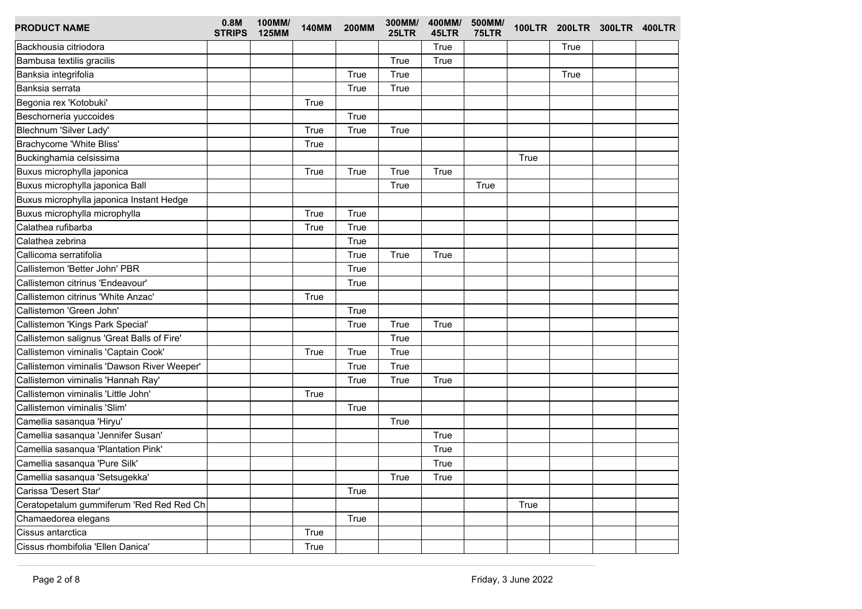| <b>PRODUCT NAME</b>                         | 0.8M<br><b>STRIPS</b> | 100MM/<br><b>125MM</b> | <b>140MM</b> | <b>200MM</b> | 300MM/<br>25LTR | 400MM/<br>45LTR | 500MM/<br>75LTR |      | 100LTR 200LTR 300LTR 400LTR |  |
|---------------------------------------------|-----------------------|------------------------|--------------|--------------|-----------------|-----------------|-----------------|------|-----------------------------|--|
| Backhousia citriodora                       |                       |                        |              |              |                 | <b>True</b>     |                 |      | True                        |  |
| Bambusa textilis gracilis                   |                       |                        |              |              | True            | True            |                 |      |                             |  |
| Banksia integrifolia                        |                       |                        |              | True         | True            |                 |                 |      | True                        |  |
| Banksia serrata                             |                       |                        |              | True         | True            |                 |                 |      |                             |  |
| Begonia rex 'Kotobuki'                      |                       |                        | True         |              |                 |                 |                 |      |                             |  |
| Beschorneria yuccoides                      |                       |                        |              | True         |                 |                 |                 |      |                             |  |
| Blechnum 'Silver Lady'                      |                       |                        | True         | True         | True            |                 |                 |      |                             |  |
| Brachycome 'White Bliss'                    |                       |                        | True         |              |                 |                 |                 |      |                             |  |
| Buckinghamia celsissima                     |                       |                        |              |              |                 |                 |                 | True |                             |  |
| Buxus microphylla japonica                  |                       |                        | True         | True         | True            | True            |                 |      |                             |  |
| Buxus microphylla japonica Ball             |                       |                        |              |              | True            |                 | True            |      |                             |  |
| Buxus microphylla japonica Instant Hedge    |                       |                        |              |              |                 |                 |                 |      |                             |  |
| Buxus microphylla microphylla               |                       |                        | True         | True         |                 |                 |                 |      |                             |  |
| Calathea rufibarba                          |                       |                        | True         | True         |                 |                 |                 |      |                             |  |
| Calathea zebrina                            |                       |                        |              | True         |                 |                 |                 |      |                             |  |
| Callicoma serratifolia                      |                       |                        |              | True         | True            | True            |                 |      |                             |  |
| Callistemon 'Better John' PBR               |                       |                        |              | True         |                 |                 |                 |      |                             |  |
| Callistemon citrinus 'Endeavour'            |                       |                        |              | True         |                 |                 |                 |      |                             |  |
| Callistemon citrinus 'White Anzac'          |                       |                        | True         |              |                 |                 |                 |      |                             |  |
| Callistemon 'Green John'                    |                       |                        |              | True         |                 |                 |                 |      |                             |  |
| Callistemon 'Kings Park Special'            |                       |                        |              | True         | True            | True            |                 |      |                             |  |
| Callistemon salignus 'Great Balls of Fire'  |                       |                        |              |              | True            |                 |                 |      |                             |  |
| Callistemon viminalis 'Captain Cook'        |                       |                        | True         | True         | True            |                 |                 |      |                             |  |
| Callistemon viminalis 'Dawson River Weeper' |                       |                        |              | True         | True            |                 |                 |      |                             |  |
| Callistemon viminalis 'Hannah Ray'          |                       |                        |              | True         | True            | True            |                 |      |                             |  |
| Callistemon viminalis 'Little John'         |                       |                        | True         |              |                 |                 |                 |      |                             |  |
| Callistemon viminalis 'Slim'                |                       |                        |              | True         |                 |                 |                 |      |                             |  |
| Camellia sasanqua 'Hiryu'                   |                       |                        |              |              | True            |                 |                 |      |                             |  |
| Camellia sasanqua 'Jennifer Susan'          |                       |                        |              |              |                 | True            |                 |      |                             |  |
| Camellia sasanqua 'Plantation Pink'         |                       |                        |              |              |                 | True            |                 |      |                             |  |
| Camellia sasanqua 'Pure Silk'               |                       |                        |              |              |                 | True            |                 |      |                             |  |
| Camellia sasanqua 'Setsugekka'              |                       |                        |              |              | True            | True            |                 |      |                             |  |
| Carissa 'Desert Star'                       |                       |                        |              | True         |                 |                 |                 |      |                             |  |
| Ceratopetalum gummiferum 'Red Red Red Ch    |                       |                        |              |              |                 |                 |                 | True |                             |  |
| Chamaedorea elegans                         |                       |                        |              | True         |                 |                 |                 |      |                             |  |
| Cissus antarctica                           |                       |                        | True         |              |                 |                 |                 |      |                             |  |
| Cissus rhombifolia 'Ellen Danica'           |                       |                        | True         |              |                 |                 |                 |      |                             |  |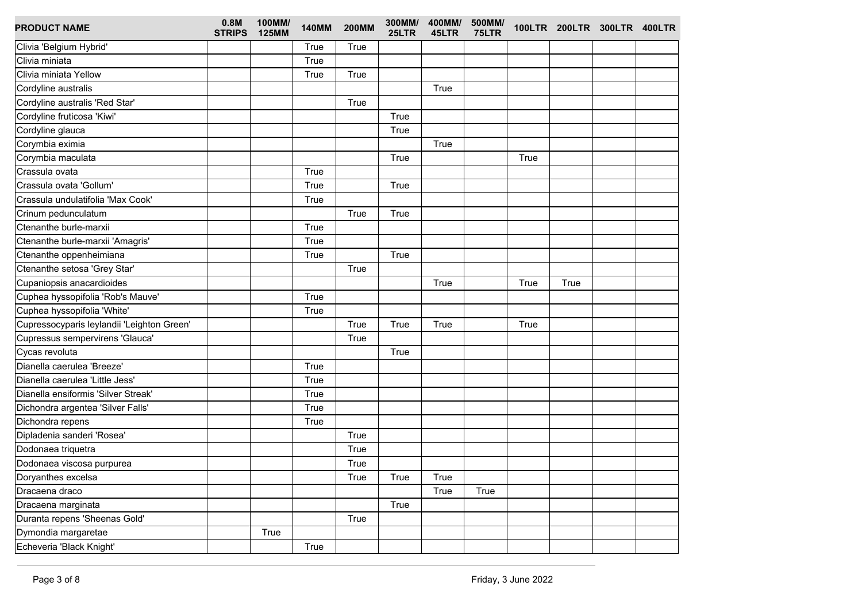| <b>PRODUCT NAME</b>                        | 0.8M<br><b>STRIPS</b> | 100MM/<br><b>125MM</b> | <b>140MM</b> | <b>200MM</b> | 300MM/<br>25LTR | 400MM/<br>45LTR | 500MM/<br>75LTR |      | 100LTR 200LTR 300LTR 400LTR |  |
|--------------------------------------------|-----------------------|------------------------|--------------|--------------|-----------------|-----------------|-----------------|------|-----------------------------|--|
| Clivia 'Belgium Hybrid'                    |                       |                        | True         | True         |                 |                 |                 |      |                             |  |
| Clivia miniata                             |                       |                        | True         |              |                 |                 |                 |      |                             |  |
| Clivia miniata Yellow                      |                       |                        | True         | True         |                 |                 |                 |      |                             |  |
| Cordyline australis                        |                       |                        |              |              |                 | True            |                 |      |                             |  |
| Cordyline australis 'Red Star'             |                       |                        |              | True         |                 |                 |                 |      |                             |  |
| Cordyline fruticosa 'Kiwi'                 |                       |                        |              |              | True            |                 |                 |      |                             |  |
| Cordyline glauca                           |                       |                        |              |              | True            |                 |                 |      |                             |  |
| Corymbia eximia                            |                       |                        |              |              |                 | True            |                 |      |                             |  |
| Corymbia maculata                          |                       |                        |              |              | True            |                 |                 | True |                             |  |
| Crassula ovata                             |                       |                        | True         |              |                 |                 |                 |      |                             |  |
| Crassula ovata 'Gollum'                    |                       |                        | True         |              | True            |                 |                 |      |                             |  |
| Crassula undulatifolia 'Max Cook'          |                       |                        | True         |              |                 |                 |                 |      |                             |  |
| Crinum pedunculatum                        |                       |                        |              | True         | True            |                 |                 |      |                             |  |
| Ctenanthe burle-marxii                     |                       |                        | True         |              |                 |                 |                 |      |                             |  |
| Ctenanthe burle-marxii 'Amagris'           |                       |                        | True         |              |                 |                 |                 |      |                             |  |
| Ctenanthe oppenheimiana                    |                       |                        | True         |              | True            |                 |                 |      |                             |  |
| Ctenanthe setosa 'Grey Star'               |                       |                        |              | True         |                 |                 |                 |      |                             |  |
| Cupaniopsis anacardioides                  |                       |                        |              |              |                 | True            |                 | True | True                        |  |
| Cuphea hyssopifolia 'Rob's Mauve'          |                       |                        | True         |              |                 |                 |                 |      |                             |  |
| Cuphea hyssopifolia 'White'                |                       |                        | True         |              |                 |                 |                 |      |                             |  |
| Cupressocyparis leylandii 'Leighton Green' |                       |                        |              | True         | True            | True            |                 | True |                             |  |
| Cupressus sempervirens 'Glauca'            |                       |                        |              | True         |                 |                 |                 |      |                             |  |
| Cycas revoluta                             |                       |                        |              |              | True            |                 |                 |      |                             |  |
| Dianella caerulea 'Breeze'                 |                       |                        | True         |              |                 |                 |                 |      |                             |  |
| Dianella caerulea 'Little Jess'            |                       |                        | True         |              |                 |                 |                 |      |                             |  |
| Dianella ensiformis 'Silver Streak'        |                       |                        | True         |              |                 |                 |                 |      |                             |  |
| Dichondra argentea 'Silver Falls'          |                       |                        | True         |              |                 |                 |                 |      |                             |  |
| Dichondra repens                           |                       |                        | True         |              |                 |                 |                 |      |                             |  |
| Dipladenia sanderi 'Rosea'                 |                       |                        |              | True         |                 |                 |                 |      |                             |  |
| Dodonaea triquetra                         |                       |                        |              | True         |                 |                 |                 |      |                             |  |
| Dodonaea viscosa purpurea                  |                       |                        |              | True         |                 |                 |                 |      |                             |  |
| Doryanthes excelsa                         |                       |                        |              | True         | True            | True            |                 |      |                             |  |
| Dracaena draco                             |                       |                        |              |              |                 | True            | True            |      |                             |  |
| Dracaena marginata                         |                       |                        |              |              | True            |                 |                 |      |                             |  |
| Duranta repens 'Sheenas Gold'              |                       |                        |              | True         |                 |                 |                 |      |                             |  |
| Dymondia margaretae                        |                       | True                   |              |              |                 |                 |                 |      |                             |  |
| Echeveria 'Black Knight'                   |                       |                        | True         |              |                 |                 |                 |      |                             |  |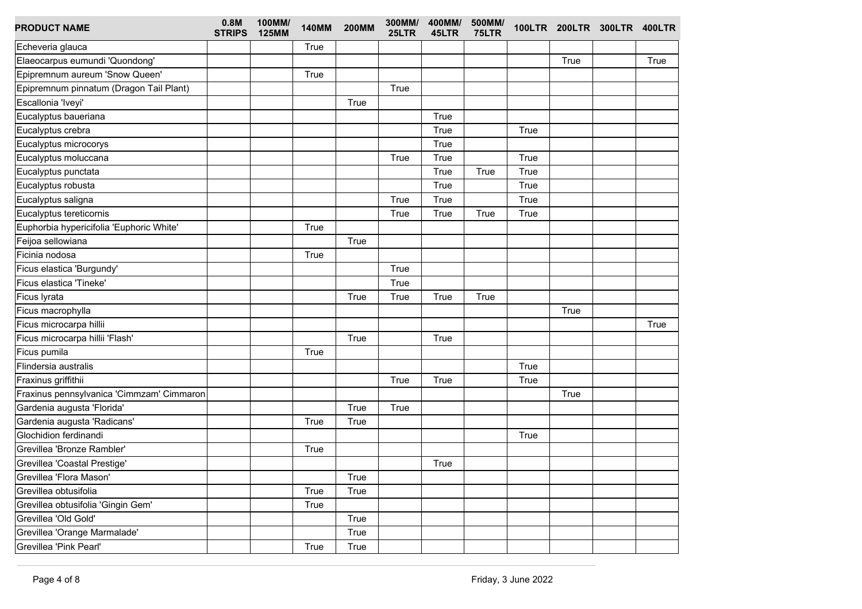| <b>PRODUCT NAME</b>                       | 0.8M<br><b>STRIPS</b> | 100MM/<br><b>125MM</b> | <b>140MM</b> | <b>200MM</b> | 300MM/<br>25LTR | 400MM/<br>45LTR | 500MM/<br>75LTR |      |      | 100LTR 200LTR 300LTR 400LTR |      |
|-------------------------------------------|-----------------------|------------------------|--------------|--------------|-----------------|-----------------|-----------------|------|------|-----------------------------|------|
| Echeveria glauca                          |                       |                        | True         |              |                 |                 |                 |      |      |                             |      |
| Elaeocarpus eumundi 'Quondong'            |                       |                        |              |              |                 |                 |                 |      | True |                             | True |
| Epipremnum aureum 'Snow Queen'            |                       |                        | True         |              |                 |                 |                 |      |      |                             |      |
| Epipremnum pinnatum (Dragon Tail Plant)   |                       |                        |              |              | True            |                 |                 |      |      |                             |      |
| Escallonia 'Iveyi'                        |                       |                        |              | True         |                 |                 |                 |      |      |                             |      |
| Eucalyptus baueriana                      |                       |                        |              |              |                 | True            |                 |      |      |                             |      |
| Eucalyptus crebra                         |                       |                        |              |              |                 | True            |                 | True |      |                             |      |
| Eucalyptus microcorys                     |                       |                        |              |              |                 | True            |                 |      |      |                             |      |
| Eucalyptus moluccana                      |                       |                        |              |              | True            | True            |                 | True |      |                             |      |
| Eucalyptus punctata                       |                       |                        |              |              |                 | True            | True            | True |      |                             |      |
| Eucalyptus robusta                        |                       |                        |              |              |                 | True            |                 | True |      |                             |      |
| Eucalyptus saligna                        |                       |                        |              |              | True            | True            |                 | True |      |                             |      |
| Eucalyptus tereticornis                   |                       |                        |              |              | True            | True            | True            | True |      |                             |      |
| Euphorbia hypericifolia 'Euphoric White'  |                       |                        | True         |              |                 |                 |                 |      |      |                             |      |
| Feijoa sellowiana                         |                       |                        |              | True         |                 |                 |                 |      |      |                             |      |
| Ficinia nodosa                            |                       |                        | True         |              |                 |                 |                 |      |      |                             |      |
| Ficus elastica 'Burgundy'                 |                       |                        |              |              | True            |                 |                 |      |      |                             |      |
| Ficus elastica 'Tineke'                   |                       |                        |              |              | True            |                 |                 |      |      |                             |      |
| Ficus lyrata                              |                       |                        |              | True         | True            | True            | True            |      |      |                             |      |
| Ficus macrophylla                         |                       |                        |              |              |                 |                 |                 |      | True |                             |      |
| Ficus microcarpa hillii                   |                       |                        |              |              |                 |                 |                 |      |      |                             | True |
| Ficus microcarpa hillii 'Flash'           |                       |                        |              | True         |                 | True            |                 |      |      |                             |      |
| Ficus pumila                              |                       |                        | True         |              |                 |                 |                 |      |      |                             |      |
| Flindersia australis                      |                       |                        |              |              |                 |                 |                 | True |      |                             |      |
| Fraxinus griffithii                       |                       |                        |              |              | True            | True            |                 | True |      |                             |      |
| Fraxinus pennsylvanica 'Cimmzam' Cimmaron |                       |                        |              |              |                 |                 |                 |      | True |                             |      |
| Gardenia augusta 'Florida'                |                       |                        |              | True         | True            |                 |                 |      |      |                             |      |
| Gardenia augusta 'Radicans'               |                       |                        | True         | True         |                 |                 |                 |      |      |                             |      |
| Glochidion ferdinandi                     |                       |                        |              |              |                 |                 |                 | True |      |                             |      |
| Grevillea 'Bronze Rambler'                |                       |                        | True         |              |                 |                 |                 |      |      |                             |      |
| Grevillea 'Coastal Prestige'              |                       |                        |              |              |                 | True            |                 |      |      |                             |      |
| Grevillea 'Flora Mason'                   |                       |                        |              | True         |                 |                 |                 |      |      |                             |      |
| Grevillea obtusifolia                     |                       |                        | True         | True         |                 |                 |                 |      |      |                             |      |
| Grevillea obtusifolia 'Gingin Gem'        |                       |                        | True         |              |                 |                 |                 |      |      |                             |      |
| Grevillea 'Old Gold'                      |                       |                        |              | True         |                 |                 |                 |      |      |                             |      |
| Grevillea 'Orange Marmalade'              |                       |                        |              | True         |                 |                 |                 |      |      |                             |      |
| Grevillea 'Pink Pearl'                    |                       |                        | True         | True         |                 |                 |                 |      |      |                             |      |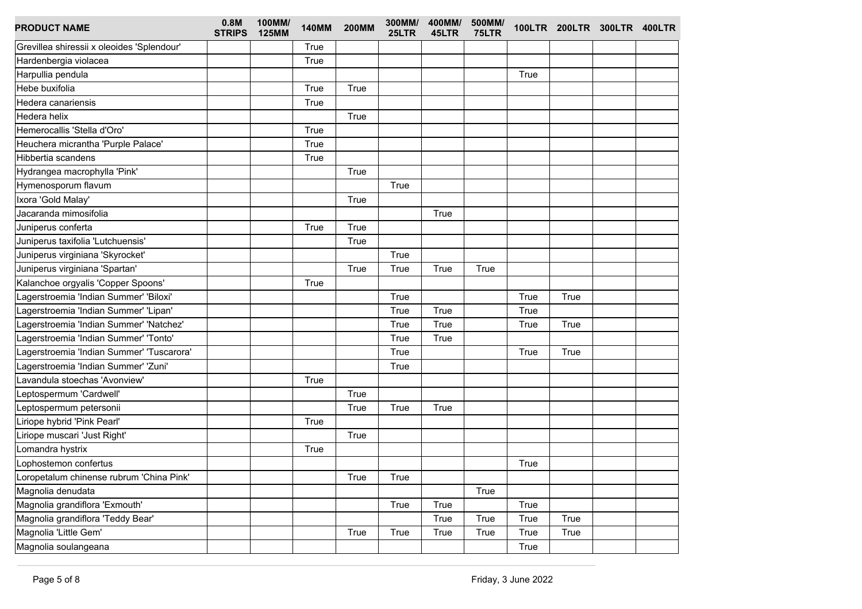| <b>PRODUCT NAME</b>                        | 0.8M<br><b>STRIPS</b> | 100MM/<br><b>125MM</b> | <b>140MM</b> | <b>200MM</b> | 300MM/<br>25LTR | 45LTR | 400MM/ 500MM/<br>75LTR |      |      | 100LTR 200LTR 300LTR 400LTR |  |
|--------------------------------------------|-----------------------|------------------------|--------------|--------------|-----------------|-------|------------------------|------|------|-----------------------------|--|
| Grevillea shiressii x oleoides 'Splendour' |                       |                        | True         |              |                 |       |                        |      |      |                             |  |
| Hardenbergia violacea                      |                       |                        | True         |              |                 |       |                        |      |      |                             |  |
| Harpullia pendula                          |                       |                        |              |              |                 |       |                        | True |      |                             |  |
| Hebe buxifolia                             |                       |                        | True         | True         |                 |       |                        |      |      |                             |  |
| Hedera canariensis                         |                       |                        | True         |              |                 |       |                        |      |      |                             |  |
| Hedera helix                               |                       |                        |              | True         |                 |       |                        |      |      |                             |  |
| Hemerocallis 'Stella d'Oro'                |                       |                        | True         |              |                 |       |                        |      |      |                             |  |
| Heuchera micrantha 'Purple Palace'         |                       |                        | True         |              |                 |       |                        |      |      |                             |  |
| Hibbertia scandens                         |                       |                        | True         |              |                 |       |                        |      |      |                             |  |
| Hydrangea macrophylla 'Pink'               |                       |                        |              | True         |                 |       |                        |      |      |                             |  |
| Hymenosporum flavum                        |                       |                        |              |              | True            |       |                        |      |      |                             |  |
| Ixora 'Gold Malay'                         |                       |                        |              | <b>True</b>  |                 |       |                        |      |      |                             |  |
| Jacaranda mimosifolia                      |                       |                        |              |              |                 | True  |                        |      |      |                             |  |
| Juniperus conferta                         |                       |                        | True         | <b>True</b>  |                 |       |                        |      |      |                             |  |
| Juniperus taxifolia 'Lutchuensis'          |                       |                        |              | True         |                 |       |                        |      |      |                             |  |
| Juniperus virginiana 'Skyrocket'           |                       |                        |              |              | True            |       |                        |      |      |                             |  |
| Juniperus virginiana 'Spartan'             |                       |                        |              | True         | True            | True  | True                   |      |      |                             |  |
| Kalanchoe orgyalis 'Copper Spoons'         |                       |                        | True         |              |                 |       |                        |      |      |                             |  |
| Lagerstroemia 'Indian Summer' 'Biloxi'     |                       |                        |              |              | True            |       |                        | True | True |                             |  |
| Lagerstroemia 'Indian Summer' 'Lipan'      |                       |                        |              |              | True            | True  |                        | True |      |                             |  |
| Lagerstroemia 'Indian Summer' 'Natchez'    |                       |                        |              |              | True            | True  |                        | True | True |                             |  |
| Lagerstroemia 'Indian Summer' 'Tonto'      |                       |                        |              |              | True            | True  |                        |      |      |                             |  |
| Lagerstroemia 'Indian Summer' 'Tuscarora'  |                       |                        |              |              | True            |       |                        | True | True |                             |  |
| Lagerstroemia 'Indian Summer' 'Zuni'       |                       |                        |              |              | True            |       |                        |      |      |                             |  |
| Lavandula stoechas 'Avonview'              |                       |                        | True         |              |                 |       |                        |      |      |                             |  |
| Leptospermum 'Cardwell'                    |                       |                        |              | True         |                 |       |                        |      |      |                             |  |
| Leptospermum petersonii                    |                       |                        |              | True         | True            | True  |                        |      |      |                             |  |
| Liriope hybrid 'Pink Pearl'                |                       |                        | True         |              |                 |       |                        |      |      |                             |  |
| Liriope muscari 'Just Right'               |                       |                        |              | True         |                 |       |                        |      |      |                             |  |
| Lomandra hystrix                           |                       |                        | True         |              |                 |       |                        |      |      |                             |  |
| Lophostemon confertus                      |                       |                        |              |              |                 |       |                        | True |      |                             |  |
| Loropetalum chinense rubrum 'China Pink'   |                       |                        |              | True         | True            |       |                        |      |      |                             |  |
| Magnolia denudata                          |                       |                        |              |              |                 |       | True                   |      |      |                             |  |
| Magnolia grandiflora 'Exmouth'             |                       |                        |              |              | True            | True  |                        | True |      |                             |  |
| Magnolia grandiflora 'Teddy Bear'          |                       |                        |              |              |                 | True  | True                   | True | True |                             |  |
| Magnolia 'Little Gem'                      |                       |                        |              | True         | True            | True  | True                   | True | True |                             |  |
| Magnolia soulangeana                       |                       |                        |              |              |                 |       |                        | True |      |                             |  |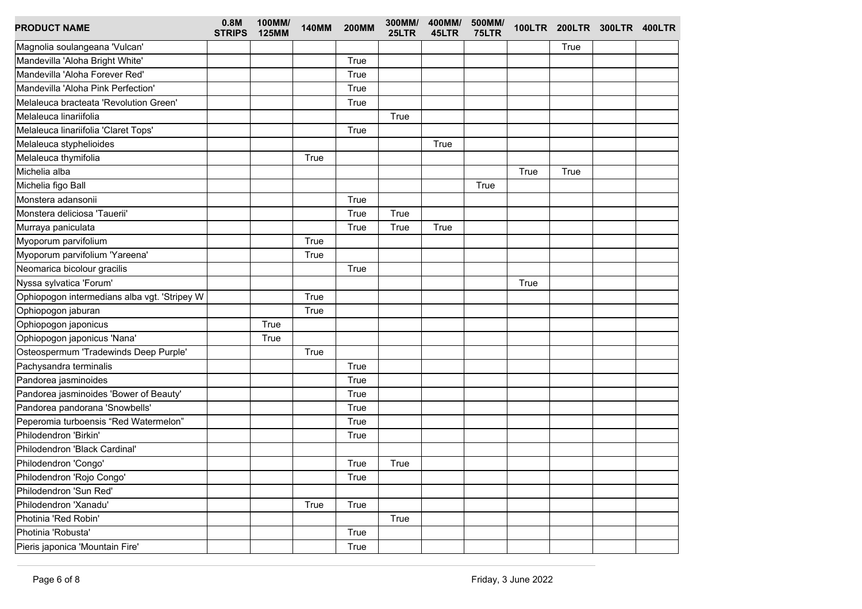| <b>PRODUCT NAME</b>                          | 0.8M<br><b>STRIPS</b> | 100MM/<br><b>125MM</b> | <b>140MM</b> | <b>200MM</b> | 25LTR | 300MM/ 400MM/<br>45LTR | 500MM/<br>75LTR |      |      | 100LTR 200LTR 300LTR 400LTR |  |
|----------------------------------------------|-----------------------|------------------------|--------------|--------------|-------|------------------------|-----------------|------|------|-----------------------------|--|
| Magnolia soulangeana 'Vulcan'                |                       |                        |              |              |       |                        |                 |      | True |                             |  |
| Mandevilla 'Aloha Bright White'              |                       |                        |              | True         |       |                        |                 |      |      |                             |  |
| Mandevilla 'Aloha Forever Red'               |                       |                        |              | True         |       |                        |                 |      |      |                             |  |
| Mandevilla 'Aloha Pink Perfection'           |                       |                        |              | True         |       |                        |                 |      |      |                             |  |
| Melaleuca bracteata 'Revolution Green'       |                       |                        |              | True         |       |                        |                 |      |      |                             |  |
| Melaleuca linariifolia                       |                       |                        |              |              | True  |                        |                 |      |      |                             |  |
| Melaleuca linariifolia 'Claret Tops'         |                       |                        |              | True         |       |                        |                 |      |      |                             |  |
| Melaleuca styphelioides                      |                       |                        |              |              |       | True                   |                 |      |      |                             |  |
| Melaleuca thymifolia                         |                       |                        | True         |              |       |                        |                 |      |      |                             |  |
| Michelia alba                                |                       |                        |              |              |       |                        |                 | True | True |                             |  |
| Michelia figo Ball                           |                       |                        |              |              |       |                        | True            |      |      |                             |  |
| Monstera adansonii                           |                       |                        |              | True         |       |                        |                 |      |      |                             |  |
| Monstera deliciosa 'Tauerii'                 |                       |                        |              | True         | True  |                        |                 |      |      |                             |  |
| Murraya paniculata                           |                       |                        |              | True         | True  | True                   |                 |      |      |                             |  |
| Myoporum parvifolium                         |                       |                        | True         |              |       |                        |                 |      |      |                             |  |
| Myoporum parvifolium 'Yareena'               |                       |                        | True         |              |       |                        |                 |      |      |                             |  |
| Neomarica bicolour gracilis                  |                       |                        |              | True         |       |                        |                 |      |      |                             |  |
| Nyssa sylvatica 'Forum'                      |                       |                        |              |              |       |                        |                 | True |      |                             |  |
| Ophiopogon intermedians alba vgt. 'Stripey W |                       |                        | True         |              |       |                        |                 |      |      |                             |  |
| Ophiopogon jaburan                           |                       |                        | True         |              |       |                        |                 |      |      |                             |  |
| Ophiopogon japonicus                         |                       | True                   |              |              |       |                        |                 |      |      |                             |  |
| Ophiopogon japonicus 'Nana'                  |                       | True                   |              |              |       |                        |                 |      |      |                             |  |
| Osteospermum 'Tradewinds Deep Purple'        |                       |                        | True         |              |       |                        |                 |      |      |                             |  |
| Pachysandra terminalis                       |                       |                        |              | True         |       |                        |                 |      |      |                             |  |
| Pandorea jasminoides                         |                       |                        |              | True         |       |                        |                 |      |      |                             |  |
| Pandorea jasminoides 'Bower of Beauty'       |                       |                        |              | True         |       |                        |                 |      |      |                             |  |
| Pandorea pandorana 'Snowbells'               |                       |                        |              | True         |       |                        |                 |      |      |                             |  |
| Peperomia turboensis "Red Watermelon"        |                       |                        |              | True         |       |                        |                 |      |      |                             |  |
| Philodendron 'Birkin'                        |                       |                        |              | True         |       |                        |                 |      |      |                             |  |
| Philodendron 'Black Cardinal'                |                       |                        |              |              |       |                        |                 |      |      |                             |  |
| Philodendron 'Congo'                         |                       |                        |              | True         | True  |                        |                 |      |      |                             |  |
| Philodendron 'Rojo Congo'                    |                       |                        |              | True         |       |                        |                 |      |      |                             |  |
| Philodendron 'Sun Red'                       |                       |                        |              |              |       |                        |                 |      |      |                             |  |
| Philodendron 'Xanadu'                        |                       |                        | True         | True         |       |                        |                 |      |      |                             |  |
| Photinia 'Red Robin'                         |                       |                        |              |              | True  |                        |                 |      |      |                             |  |
| Photinia 'Robusta'                           |                       |                        |              | True         |       |                        |                 |      |      |                             |  |
| Pieris japonica 'Mountain Fire'              |                       |                        |              | True         |       |                        |                 |      |      |                             |  |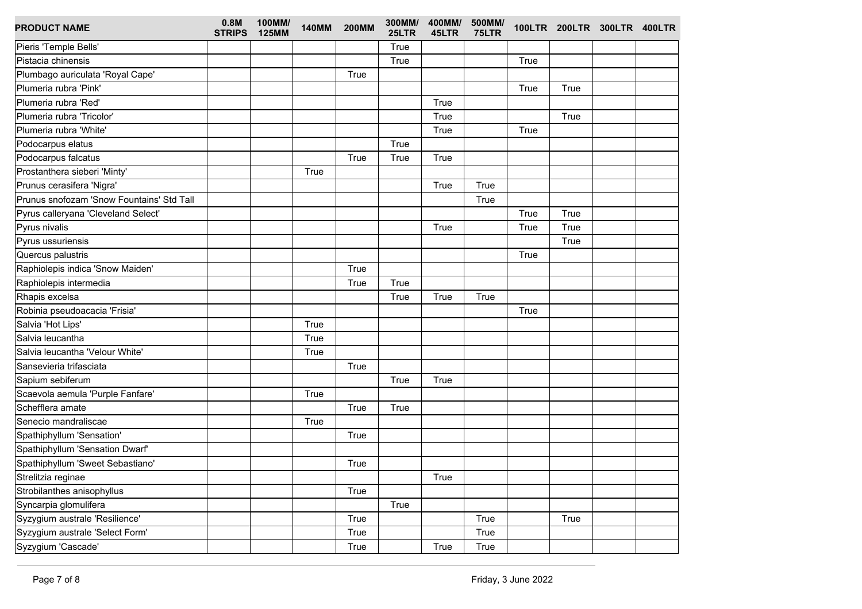| <b>PRODUCT NAME</b>                       | 0.8M<br><b>STRIPS</b> | 100MM/<br><b>125MM</b> | <b>140MM</b> | <b>200MM</b> | 300MM/<br>25LTR | 400MM/<br>45LTR | 500MM/<br>75LTR |      |      | 100LTR 200LTR 300LTR 400LTR |  |
|-------------------------------------------|-----------------------|------------------------|--------------|--------------|-----------------|-----------------|-----------------|------|------|-----------------------------|--|
| Pieris 'Temple Bells'                     |                       |                        |              |              | True            |                 |                 |      |      |                             |  |
| Pistacia chinensis                        |                       |                        |              |              | True            |                 |                 | True |      |                             |  |
| Plumbago auriculata 'Royal Cape'          |                       |                        |              | True         |                 |                 |                 |      |      |                             |  |
| Plumeria rubra 'Pink'                     |                       |                        |              |              |                 |                 |                 | True | True |                             |  |
| Plumeria rubra 'Red'                      |                       |                        |              |              |                 | True            |                 |      |      |                             |  |
| Plumeria rubra 'Tricolor'                 |                       |                        |              |              |                 | True            |                 |      | True |                             |  |
| Plumeria rubra 'White'                    |                       |                        |              |              |                 | True            |                 | True |      |                             |  |
| Podocarpus elatus                         |                       |                        |              |              | True            |                 |                 |      |      |                             |  |
| Podocarpus falcatus                       |                       |                        |              | True         | True            | True            |                 |      |      |                             |  |
| Prostanthera sieberi 'Minty'              |                       |                        | True         |              |                 |                 |                 |      |      |                             |  |
| Prunus cerasifera 'Nigra'                 |                       |                        |              |              |                 | True            | True            |      |      |                             |  |
| Prunus snofozam 'Snow Fountains' Std Tall |                       |                        |              |              |                 |                 | True            |      |      |                             |  |
| Pyrus calleryana 'Cleveland Select'       |                       |                        |              |              |                 |                 |                 | True | True |                             |  |
| Pyrus nivalis                             |                       |                        |              |              |                 | True            |                 | True | True |                             |  |
| Pyrus ussuriensis                         |                       |                        |              |              |                 |                 |                 |      | True |                             |  |
| Quercus palustris                         |                       |                        |              |              |                 |                 |                 | True |      |                             |  |
| Raphiolepis indica 'Snow Maiden'          |                       |                        |              | True         |                 |                 |                 |      |      |                             |  |
| Raphiolepis intermedia                    |                       |                        |              | True         | True            |                 |                 |      |      |                             |  |
| Rhapis excelsa                            |                       |                        |              |              | True            | True            | True            |      |      |                             |  |
| Robinia pseudoacacia 'Frisia'             |                       |                        |              |              |                 |                 |                 | True |      |                             |  |
| Salvia 'Hot Lips'                         |                       |                        | True         |              |                 |                 |                 |      |      |                             |  |
| Salvia leucantha                          |                       |                        | True         |              |                 |                 |                 |      |      |                             |  |
| Salvia leucantha 'Velour White'           |                       |                        | True         |              |                 |                 |                 |      |      |                             |  |
| Sansevieria trifasciata                   |                       |                        |              | True         |                 |                 |                 |      |      |                             |  |
| Sapium sebiferum                          |                       |                        |              |              | True            | True            |                 |      |      |                             |  |
| Scaevola aemula 'Purple Fanfare'          |                       |                        | True         |              |                 |                 |                 |      |      |                             |  |
| Schefflera amate                          |                       |                        |              | True         | True            |                 |                 |      |      |                             |  |
| Senecio mandraliscae                      |                       |                        | True         |              |                 |                 |                 |      |      |                             |  |
| Spathiphyllum 'Sensation'                 |                       |                        |              | True         |                 |                 |                 |      |      |                             |  |
| Spathiphyllum 'Sensation Dwarf'           |                       |                        |              |              |                 |                 |                 |      |      |                             |  |
| Spathiphyllum 'Sweet Sebastiano'          |                       |                        |              | True         |                 |                 |                 |      |      |                             |  |
| Strelitzia reginae                        |                       |                        |              |              |                 | True            |                 |      |      |                             |  |
| Strobilanthes anisophyllus                |                       |                        |              | True         |                 |                 |                 |      |      |                             |  |
| Syncarpia glomulifera                     |                       |                        |              |              | True            |                 |                 |      |      |                             |  |
| Syzygium australe 'Resilience'            |                       |                        |              | True         |                 |                 | True            |      | True |                             |  |
| Syzygium australe 'Select Form'           |                       |                        |              | True         |                 |                 | True            |      |      |                             |  |
| Syzygium 'Cascade'                        |                       |                        |              | True         |                 | True            | True            |      |      |                             |  |